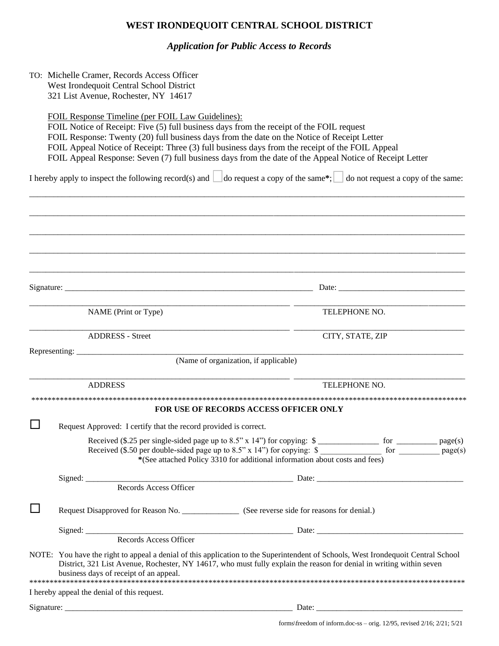# **WEST IRONDEQUOIT CENTRAL SCHOOL DISTRICT**

*Application for Public Access to Records*

| TO: Michelle Cramer, Records Access Officer<br>West Irondequoit Central School District<br>321 List Avenue, Rochester, NY 14617 |                                                                                                                                                                                                                                                                                                                                                                                                                                                            |  |                                                                                                                                                                                       |                  |                                    |  |
|---------------------------------------------------------------------------------------------------------------------------------|------------------------------------------------------------------------------------------------------------------------------------------------------------------------------------------------------------------------------------------------------------------------------------------------------------------------------------------------------------------------------------------------------------------------------------------------------------|--|---------------------------------------------------------------------------------------------------------------------------------------------------------------------------------------|------------------|------------------------------------|--|
|                                                                                                                                 | FOIL Response Timeline (per FOIL Law Guidelines):<br>FOIL Notice of Receipt: Five (5) full business days from the receipt of the FOIL request<br>FOIL Response: Twenty (20) full business days from the date on the Notice of Receipt Letter<br>FOIL Appeal Notice of Receipt: Three (3) full business days from the receipt of the FOIL Appeal<br>FOIL Appeal Response: Seven (7) full business days from the date of the Appeal Notice of Receipt Letter |  |                                                                                                                                                                                       |                  |                                    |  |
|                                                                                                                                 | I hereby apply to inspect the following record(s) and $\Box$ do request a copy of the same*;                                                                                                                                                                                                                                                                                                                                                               |  |                                                                                                                                                                                       |                  | do not request a copy of the same: |  |
|                                                                                                                                 |                                                                                                                                                                                                                                                                                                                                                                                                                                                            |  |                                                                                                                                                                                       |                  |                                    |  |
|                                                                                                                                 |                                                                                                                                                                                                                                                                                                                                                                                                                                                            |  |                                                                                                                                                                                       |                  |                                    |  |
|                                                                                                                                 |                                                                                                                                                                                                                                                                                                                                                                                                                                                            |  |                                                                                                                                                                                       |                  |                                    |  |
|                                                                                                                                 | NAME (Print or Type)                                                                                                                                                                                                                                                                                                                                                                                                                                       |  |                                                                                                                                                                                       | TELEPHONE NO.    |                                    |  |
|                                                                                                                                 | <b>ADDRESS</b> - Street                                                                                                                                                                                                                                                                                                                                                                                                                                    |  |                                                                                                                                                                                       | CITY, STATE, ZIP |                                    |  |
|                                                                                                                                 | Representing: $\frac{1}{2}$                                                                                                                                                                                                                                                                                                                                                                                                                                |  | (Name of organization, if applicable)                                                                                                                                                 |                  |                                    |  |
|                                                                                                                                 | <b>ADDRESS</b>                                                                                                                                                                                                                                                                                                                                                                                                                                             |  |                                                                                                                                                                                       | TELEPHONE NO.    |                                    |  |
|                                                                                                                                 |                                                                                                                                                                                                                                                                                                                                                                                                                                                            |  | FOR USE OF RECORDS ACCESS OFFICER ONLY                                                                                                                                                |                  |                                    |  |
|                                                                                                                                 | Request Approved: I certify that the record provided is correct.                                                                                                                                                                                                                                                                                                                                                                                           |  |                                                                                                                                                                                       |                  |                                    |  |
|                                                                                                                                 |                                                                                                                                                                                                                                                                                                                                                                                                                                                            |  | Received $(\$.50$ per double-sided page up to $8.5$ " x 14") for copying: $\$\_$ for $\_\_$ for $\_\_$<br>*(See attached Policy 3310 for additional information about costs and fees) |                  |                                    |  |
|                                                                                                                                 |                                                                                                                                                                                                                                                                                                                                                                                                                                                            |  |                                                                                                                                                                                       |                  |                                    |  |
|                                                                                                                                 | Request Disapproved for Reason No. _________________ (See reverse side for reasons for denial.)                                                                                                                                                                                                                                                                                                                                                            |  |                                                                                                                                                                                       |                  |                                    |  |
|                                                                                                                                 |                                                                                                                                                                                                                                                                                                                                                                                                                                                            |  |                                                                                                                                                                                       |                  |                                    |  |
|                                                                                                                                 |                                                                                                                                                                                                                                                                                                                                                                                                                                                            |  |                                                                                                                                                                                       |                  |                                    |  |
|                                                                                                                                 | NOTE: You have the right to appeal a denial of this application to the Superintendent of Schools, West Irondequoit Central School<br>District, 321 List Avenue, Rochester, NY 14617, who must fully explain the reason for denial in writing within seven<br>business days of receipt of an appeal.                                                                                                                                                        |  |                                                                                                                                                                                       |                  |                                    |  |
|                                                                                                                                 | I hereby appeal the denial of this request.                                                                                                                                                                                                                                                                                                                                                                                                                |  |                                                                                                                                                                                       |                  |                                    |  |
|                                                                                                                                 |                                                                                                                                                                                                                                                                                                                                                                                                                                                            |  |                                                                                                                                                                                       |                  |                                    |  |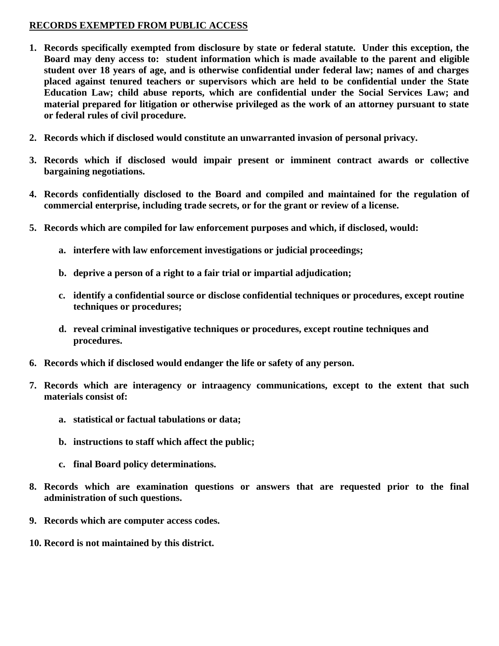## **RECORDS EXEMPTED FROM PUBLIC ACCESS**

- **1. Records specifically exempted from disclosure by state or federal statute. Under this exception, the Board may deny access to: student information which is made available to the parent and eligible student over 18 years of age, and is otherwise confidential under federal law; names of and charges placed against tenured teachers or supervisors which are held to be confidential under the State Education Law; child abuse reports, which are confidential under the Social Services Law; and material prepared for litigation or otherwise privileged as the work of an attorney pursuant to state or federal rules of civil procedure.**
- **2. Records which if disclosed would constitute an unwarranted invasion of personal privacy.**
- **3. Records which if disclosed would impair present or imminent contract awards or collective bargaining negotiations.**
- **4. Records confidentially disclosed to the Board and compiled and maintained for the regulation of commercial enterprise, including trade secrets, or for the grant or review of a license.**
- **5. Records which are compiled for law enforcement purposes and which, if disclosed, would:**
	- **a. interfere with law enforcement investigations or judicial proceedings;**
	- **b. deprive a person of a right to a fair trial or impartial adjudication;**
	- **c. identify a confidential source or disclose confidential techniques or procedures, except routine techniques or procedures;**
	- **d. reveal criminal investigative techniques or procedures, except routine techniques and procedures.**
- **6. Records which if disclosed would endanger the life or safety of any person.**
- **7. Records which are interagency or intraagency communications, except to the extent that such materials consist of:**
	- **a. statistical or factual tabulations or data;**
	- **b. instructions to staff which affect the public;**
	- **c. final Board policy determinations.**
- **8. Records which are examination questions or answers that are requested prior to the final administration of such questions.**
- **9. Records which are computer access codes.**
- **10. Record is not maintained by this district.**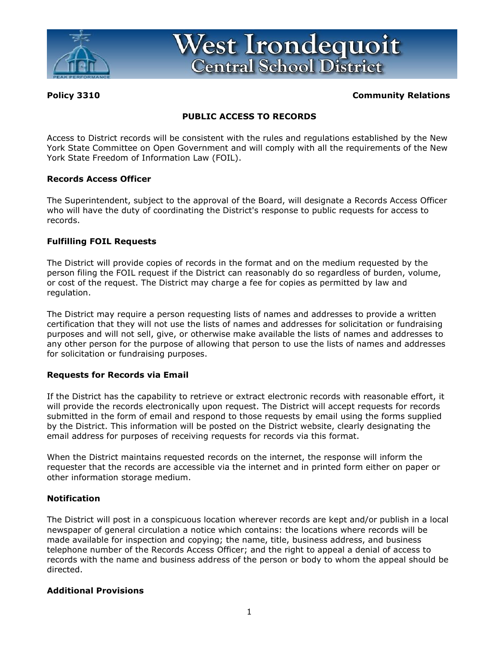

West Irondequoit **Central School District** 

## **Policy 3310 Community Relations**

## **PUBLIC ACCESS TO RECORDS**

Access to District records will be consistent with the rules and regulations established by the New York State Committee on Open Government and will comply with all the requirements of the New York State Freedom of Information Law (FOIL).

#### **Records Access Officer**

The Superintendent, subject to the approval of the Board, will designate a Records Access Officer who will have the duty of coordinating the District's response to public requests for access to records.

### **Fulfilling FOIL Requests**

The District will provide copies of records in the format and on the medium requested by the person filing the FOIL request if the District can reasonably do so regardless of burden, volume, or cost of the request. The District may charge a fee for copies as permitted by law and regulation.

The District may require a person requesting lists of names and addresses to provide a written certification that they will not use the lists of names and addresses for solicitation or fundraising purposes and will not sell, give, or otherwise make available the lists of names and addresses to any other person for the purpose of allowing that person to use the lists of names and addresses for solicitation or fundraising purposes.

## **Requests for Records via Email**

If the District has the capability to retrieve or extract electronic records with reasonable effort, it will provide the records electronically upon request. The District will accept requests for records submitted in the form of email and respond to those requests by email using the forms supplied by the District. This information will be posted on the District website, clearly designating the email address for purposes of receiving requests for records via this format.

When the District maintains requested records on the internet, the response will inform the requester that the records are accessible via the internet and in printed form either on paper or other information storage medium.

## **Notification**

The District will post in a conspicuous location wherever records are kept and/or publish in a local newspaper of general circulation a notice which contains: the locations where records will be made available for inspection and copying; the name, title, business address, and business telephone number of the Records Access Officer; and the right to appeal a denial of access to records with the name and business address of the person or body to whom the appeal should be directed.

#### **Additional Provisions**